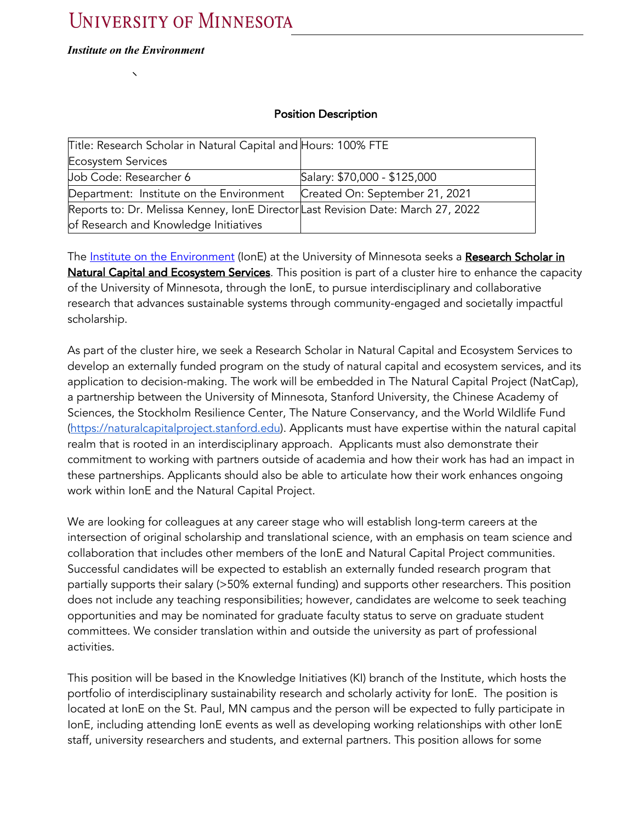#### *Institute on the Environment*

### Position Description

| Title: Research Scholar in Natural Capital and Hours: 100% FTE                  |                                |
|---------------------------------------------------------------------------------|--------------------------------|
| <b>Ecosystem Services</b>                                                       |                                |
| Job Code: Researcher 6                                                          | Salary: \$70,000 - \$125,000   |
| Department: Institute on the Environment                                        | Created On: September 21, 2021 |
| Reports to: Dr. Melissa Kenney, IonE DirectorLast Revision Date: March 27, 2022 |                                |
| of Research and Knowledge Initiatives                                           |                                |

The Institute on the Environment (IonE) at the University of Minnesota seeks a Research Scholar in Natural Capital and Ecosystem Services. This position is part of a cluster hire to enhance the capacity of the University of Minnesota, through the IonE, to pursue interdisciplinary and collaborative research that advances sustainable systems through community-engaged and societally impactful scholarship.

As part of the cluster hire, we seek a Research Scholar in Natural Capital and Ecosystem Services to develop an externally funded program on the study of natural capital and ecosystem services, and its application to decision-making. The work will be embedded in The Natural Capital Project (NatCap), a partnership between the University of Minnesota, Stanford University, the Chinese Academy of Sciences, the Stockholm Resilience Center, The Nature Conservancy, and the World Wildlife Fund (https://naturalcapitalproject.stanford.edu). Applicants must have expertise within the natural capital realm that is rooted in an interdisciplinary approach. Applicants must also demonstrate their commitment to working with partners outside of academia and how their work has had an impact in these partnerships. Applicants should also be able to articulate how their work enhances ongoing work within IonE and the Natural Capital Project.

We are looking for colleagues at any career stage who will establish long-term careers at the intersection of original scholarship and translational science, with an emphasis on team science and collaboration that includes other members of the IonE and Natural Capital Project communities. Successful candidates will be expected to establish an externally funded research program that partially supports their salary (>50% external funding) and supports other researchers. This position does not include any teaching responsibilities; however, candidates are welcome to seek teaching opportunities and may be nominated for graduate faculty status to serve on graduate student committees. We consider translation within and outside the university as part of professional activities.

This position will be based in the Knowledge Initiatives (KI) branch of the Institute, which hosts the portfolio of interdisciplinary sustainability research and scholarly activity for IonE. The position is located at IonE on the St. Paul, MN campus and the person will be expected to fully participate in IonE, including attending IonE events as well as developing working relationships with other IonE staff, university researchers and students, and external partners. This position allows for some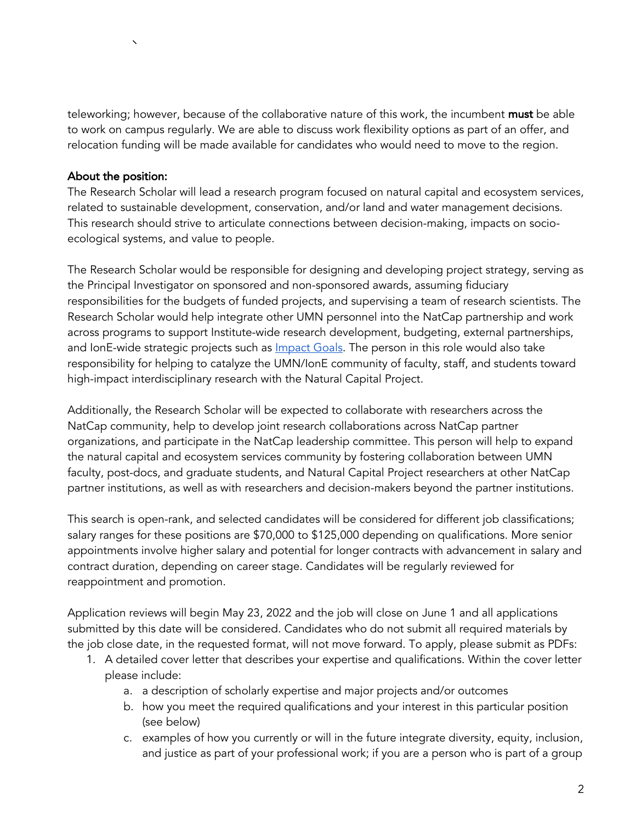teleworking; however, because of the collaborative nature of this work, the incumbent must be able to work on campus regularly. We are able to discuss work flexibility options as part of an offer, and relocation funding will be made available for candidates who would need to move to the region.

### About the position:

The Research Scholar will lead a research program focused on natural capital and ecosystem services, related to sustainable development, conservation, and/or land and water management decisions. This research should strive to articulate connections between decision-making, impacts on socioecological systems, and value to people.

The Research Scholar would be responsible for designing and developing project strategy, serving as the Principal Investigator on sponsored and non-sponsored awards, assuming fiduciary responsibilities for the budgets of funded projects, and supervising a team of research scientists. The Research Scholar would help integrate other UMN personnel into the NatCap partnership and work across programs to support Institute-wide research development, budgeting, external partnerships, and IonE-wide strategic projects such as **Impact Goals**. The person in this role would also take responsibility for helping to catalyze the UMN/IonE community of faculty, staff, and students toward high-impact interdisciplinary research with the Natural Capital Project.

Additionally, the Research Scholar will be expected to collaborate with researchers across the NatCap community, help to develop joint research collaborations across NatCap partner organizations, and participate in the NatCap leadership committee. This person will help to expand the natural capital and ecosystem services community by fostering collaboration between UMN faculty, post-docs, and graduate students, and Natural Capital Project researchers at other NatCap partner institutions, as well as with researchers and decision-makers beyond the partner institutions.

This search is open-rank, and selected candidates will be considered for different job classifications; salary ranges for these positions are \$70,000 to \$125,000 depending on qualifications. More senior appointments involve higher salary and potential for longer contracts with advancement in salary and contract duration, depending on career stage. Candidates will be regularly reviewed for reappointment and promotion.

Application reviews will begin May 23, 2022 and the job will close on June 1 and all applications submitted by this date will be considered. Candidates who do not submit all required materials by the job close date, in the requested format, will not move forward. To apply, please submit as PDFs:

- 1. A detailed cover letter that describes your expertise and qualifications. Within the cover letter please include:
	- a. a description of scholarly expertise and major projects and/or outcomes
	- b. how you meet the required qualifications and your interest in this particular position (see below)
	- c. examples of how you currently or will in the future integrate diversity, equity, inclusion, and justice as part of your professional work; if you are a person who is part of a group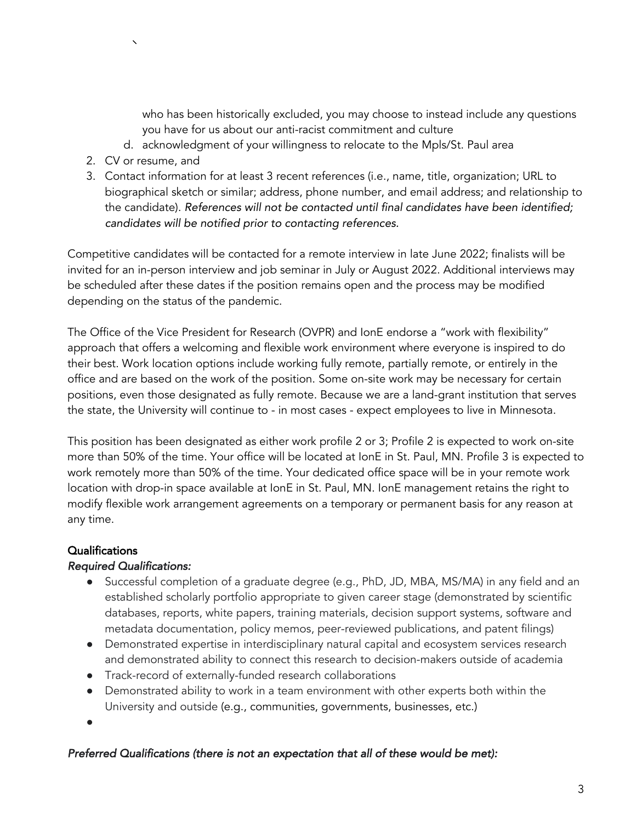who has been historically excluded, you may choose to instead include any questions you have for us about our anti-racist commitment and culture

- d. acknowledgment of your willingness to relocate to the Mpls/St. Paul area
- 2. CV or resume, and
- 3. Contact information for at least 3 recent references (i.e., name, title, organization; URL to biographical sketch or similar; address, phone number, and email address; and relationship to the candidate). *References will not be contacted until final candidates have been identified; candidates will be notified prior to contacting references.*

Competitive candidates will be contacted for a remote interview in late June 2022; finalists will be invited for an in-person interview and job seminar in July or August 2022. Additional interviews may be scheduled after these dates if the position remains open and the process may be modified depending on the status of the pandemic.

The Office of the Vice President for Research (OVPR) and IonE endorse a "work with flexibility" approach that offers a welcoming and flexible work environment where everyone is inspired to do their best. Work location options include working fully remote, partially remote, or entirely in the office and are based on the work of the position. Some on-site work may be necessary for certain positions, even those designated as fully remote. Because we are a land-grant institution that serves the state, the University will continue to - in most cases - expect employees to live in Minnesota.

This position has been designated as either work profile 2 or 3; Profile 2 is expected to work on-site more than 50% of the time. Your office will be located at IonE in St. Paul, MN. Profile 3 is expected to work remotely more than 50% of the time. Your dedicated office space will be in your remote work location with drop-in space available at IonE in St. Paul, MN. IonE management retains the right to modify flexible work arrangement agreements on a temporary or permanent basis for any reason at any time.

# Qualifications

# *Required Qualifications:*

- Successful completion of a graduate degree (e.g., PhD, JD, MBA, MS/MA) in any field and an established scholarly portfolio appropriate to given career stage (demonstrated by scientific databases, reports, white papers, training materials, decision support systems, software and metadata documentation, policy memos, peer-reviewed publications, and patent filings)
- Demonstrated expertise in interdisciplinary natural capital and ecosystem services research and demonstrated ability to connect this research to decision-makers outside of academia
- Track-record of externally-funded research collaborations
- Demonstrated ability to work in a team environment with other experts both within the University and outside (e.g., communities, governments, businesses, etc.)
- ●

# *Preferred Qualifications (there is not an expectation that all of these would be met):*